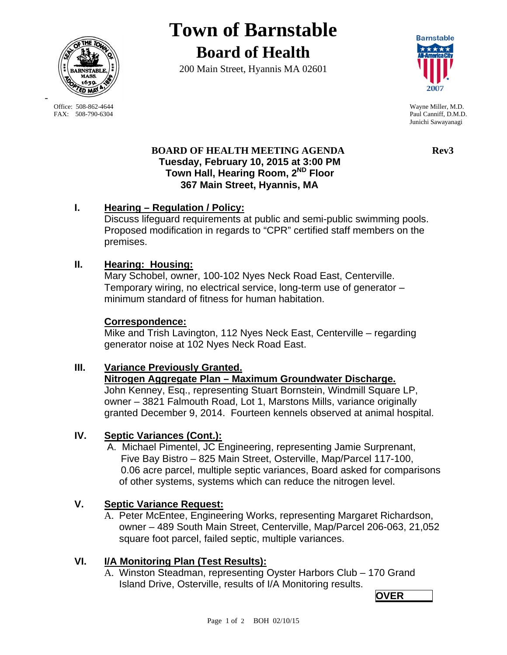

**Town of Barnstable Board of Health**

200 Main Street, Hyannis MA 02601



Office: 508-862-4644 Wayne Miller, M.D.<br>
FAX: 508-790-6304 Paul Canniff. D.M.D Paul Canniff, D.M.D. Junichi Sawayanagi

#### **BOARD OF HEALTH MEETING AGENDA** Rev3  **Tuesday, February 10, 2015 at 3:00 PM Town Hall, Hearing Room, 2ND Floor 367 Main Street, Hyannis, MA**

### **I. Hearing – Regulation / Policy:**

Discuss lifeguard requirements at public and semi-public swimming pools. Proposed modification in regards to "CPR" certified staff members on the premises.

### **II. Hearing: Housing:**

Mary Schobel, owner, 100-102 Nyes Neck Road East, Centerville. Temporary wiring, no electrical service, long-term use of generator – minimum standard of fitness for human habitation.

### **Correspondence:**

Mike and Trish Lavington, 112 Nyes Neck East, Centerville – regarding generator noise at 102 Nyes Neck Road East.

# **III. Variance Previously Granted.**

### **Nitrogen Aggregate Plan – Maximum Groundwater Discharge.**

John Kenney, Esq., representing Stuart Bornstein, Windmill Square LP, owner – 3821 Falmouth Road, Lot 1, Marstons Mills, variance originally granted December 9, 2014. Fourteen kennels observed at animal hospital.

# **IV. Septic Variances (Cont.):**

 A. Michael Pimentel, JC Engineering, representing Jamie Surprenant, Five Bay Bistro – 825 Main Street, Osterville, Map/Parcel 117-100, 0.06 acre parcel, multiple septic variances, Board asked for comparisons of other systems, systems which can reduce the nitrogen level.

# **V. Septic Variance Request:**

A. Peter McEntee, Engineering Works, representing Margaret Richardson, owner – 489 South Main Street, Centerville, Map/Parcel 206-063, 21,052 square foot parcel, failed septic, multiple variances.

# **VI. I/A Monitoring Plan (Test Results):**

A. Winston Steadman, representing Oyster Harbors Club – 170 Grand Island Drive, Osterville, results of I/A Monitoring results.

**OVER OVER** 

-